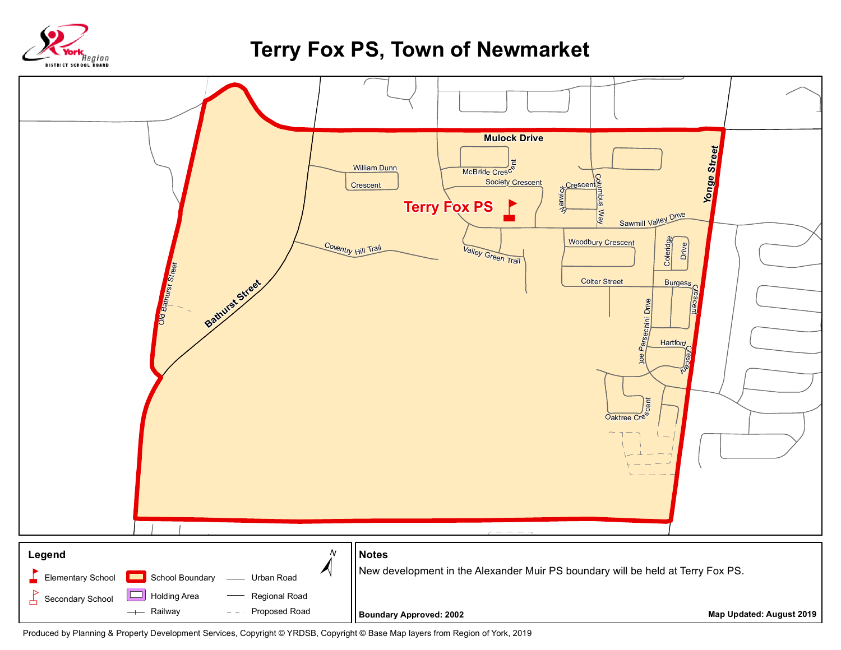

## **Terry Fox PS, Town of Newmarket**



Produced by Planning & Property Development Services, Copyright © YRDSB, Copyright © Base Map layers from Region of York, 2019